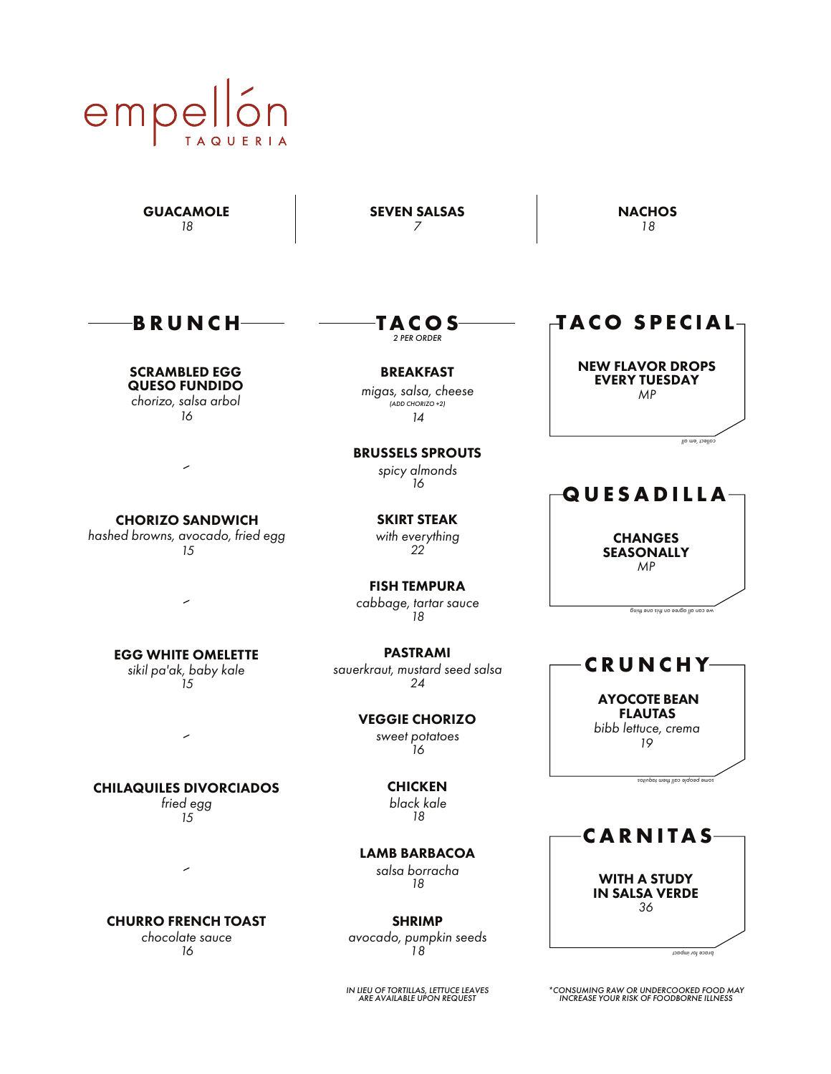# empel **TAQUERIA**

**GUACAMOLE** *18*

SEVEN SALSAS *7*

*2 PER ORDER* **T A C O S**

BREAKFAST *migas, salsa, cheese*

*(ADD CHORIZO +2) 14*

BRUSSELS SPROUTS *spicy almonds 16*

**NACHOS** *18*

**B R U N C H**

SCRAMBLED EGG QUESO FUNDIDO *chorizo, salsa arbol*

*16*

 $\overline{\phantom{0}}$ 

*hashed browns, avocado, fried egg 15*

SKIRT STEAK *with everything 22*

FISH TEMPURA *cabbage, tartar sauce 18*

PASTRAMI *sauerkraut, mustard seed salsa 24*

> VEGGIE CHORIZO *sweet potatoes 16*

> > **CHICKEN** *black kale 18*

LAMB BARBACOA *salsa borracha 18*

SHRIMP *avocado, pumpkin seeds 18*

## *IN LIEU OF TORTILLAS, LETTUCE LEAVES ARE AVAILABLE UPON REQUEST*

**TACO SPECIAL**

NEW FLAVOR DROPS EVERY TUESDAY *MP*

*collect 'em all*

# **QUESADILLA**

**CHANGES SEASONALLY** *MP*

*we can all agree on this one thing*

AYOCOTE BEAN FLAUTAS

**C R U N C H Y**

*bibb lettuce, crema 19*

*taquitos meht l cal <sup>e</sup> people som*

WITH A STUDY IN SALSA VERDE *36*

**C A R N I T A S**

*impact r fo <sup>e</sup> brac*

*\*CONSUMING RAW OR UNDERCOOKED FOOD MAY INCREASE YOUR RISK OF FOODBORNE ILLNESS*

CHORIZO SANDWICH

EGG WHITE OMELETTE

*sikil pa'ak, baby kale 15*

 $\overline{\phantom{0}}$ 

CHILAQUILES DIVORCIADOS

*fried egg 15*

╭

CHURRO FRENCH TOAST

*chocolate sauce 16*